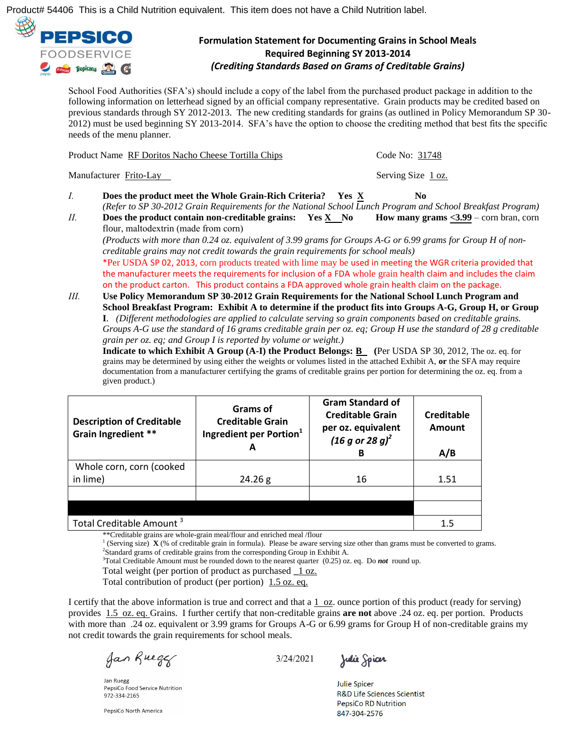

## **Formulation Statement for Documenting Grains in School Meals Required Beginning SY 2013-2014**  *(Crediting Standards Based on Grams of Creditable Grains)*

School Food Authorities (SFA's) should include a copy of the label from the purchased product package in addition to the following information on letterhead signed by an official company representative. Grain products may be credited based on previous standards through SY 2012-2013. The new crediting standards for grains (as outlined in Policy Memorandum SP 30- 2012) must be used beginning SY 2013-2014. SFA's have the option to choose the crediting method that best fits the specific needs of the menu planner.

|                                                                                                                                                                                                                         | Product Name RF Doritos Nacho Cheese Tortilla Chips                                                                                                                                                                                                                                                                                    | Code No: 31748                            |  |                                                                                                                     |
|-------------------------------------------------------------------------------------------------------------------------------------------------------------------------------------------------------------------------|----------------------------------------------------------------------------------------------------------------------------------------------------------------------------------------------------------------------------------------------------------------------------------------------------------------------------------------|-------------------------------------------|--|---------------------------------------------------------------------------------------------------------------------|
| Manufacturer Frito-Lay                                                                                                                                                                                                  |                                                                                                                                                                                                                                                                                                                                        | Serving Size 1 oz.                        |  |                                                                                                                     |
| I.                                                                                                                                                                                                                      | Does the product meet the Whole Grain-Rich Criteria?<br>Yes X<br>(Refer to SP 30-2012 Grain Requirements for the National School Lunch Program and School Breakfast Program)                                                                                                                                                           | No.                                       |  |                                                                                                                     |
| Ш.                                                                                                                                                                                                                      | Does the product contain non-creditable grains: Yes X No                                                                                                                                                                                                                                                                               | How many grams $<$ 3.99 – corn bran, corn |  |                                                                                                                     |
|                                                                                                                                                                                                                         | flour, maltodextrin (made from corn)<br>(Products with more than 0.24 oz. equivalent of 3.99 grams for Groups A-G or 6.99 grams for Group H of non-<br>creditable grains may not credit towards the grain requirements for school meals)                                                                                               |                                           |  |                                                                                                                     |
|                                                                                                                                                                                                                         | *Per USDA SP 02, 2013, corn products treated with lime may be used in meeting the WGR criteria provided that<br>the manufacturer meets the requirements for inclusion of a FDA whole grain health claim and includes the claim<br>on the product carton. This product contains a FDA approved whole grain health claim on the package. |                                           |  |                                                                                                                     |
| Ш.                                                                                                                                                                                                                      | Use Policy Memorandum SP 30-2012 Grain Requirements for the National School Lunch Program and                                                                                                                                                                                                                                          |                                           |  |                                                                                                                     |
| School Breakfast Program: Exhibit A to determine if the product fits into Groups A-G, Group H, or Group<br>I. (Different methodologies are applied to calculate serving so grain components based on creditable grains. |                                                                                                                                                                                                                                                                                                                                        |                                           |  |                                                                                                                     |
|                                                                                                                                                                                                                         |                                                                                                                                                                                                                                                                                                                                        |                                           |  | Groups A-G use the standard of 16 grams creditable grain per $oz$ . eq; Group H use the standard of 28 g creditable |

*grain per oz. eq; and Group I is reported by volume or weight.)*

**Indicate to which Exhibit A Group (A-I) the Product Belongs: B (**Per USDA SP 30, 2012, The oz. eq. for grains may be determined by using either the weights or volumes listed in the attached Exhibit A, **or** the SFA may require documentation from a manufacturer certifying the grams of creditable grains per portion for determining the oz. eq. from a given product.)

| <b>Description of Creditable</b><br>Grain Ingredient **                                                                               | Grams of<br><b>Creditable Grain</b><br>Ingredient per Portion <sup>1</sup><br>А | <b>Gram Standard of</b><br><b>Creditable Grain</b><br>per oz. equivalent<br>$(16 g or 28 g)^2$<br>в | Creditable<br>Amount<br>A/B |
|---------------------------------------------------------------------------------------------------------------------------------------|---------------------------------------------------------------------------------|-----------------------------------------------------------------------------------------------------|-----------------------------|
| Whole corn, corn (cooked                                                                                                              |                                                                                 |                                                                                                     |                             |
| in lime)                                                                                                                              | 24.26 g                                                                         | 16                                                                                                  | 1.51                        |
|                                                                                                                                       |                                                                                 |                                                                                                     |                             |
|                                                                                                                                       |                                                                                 |                                                                                                     |                             |
| Total Creditable Amount <sup>3</sup><br>$16.01 \times 10^{-1}$ and $16.01 \times 10^{-1}$ and $16.01 \times 10^{-1}$<br>$\sim$ $\sim$ | 1.5                                                                             |                                                                                                     |                             |

\*\*Creditable grains are whole-grain meal/flour and enriched meal /flour

<sup>1</sup> (Serving size)  $\mathbf{X}$  (% of creditable grain in formula). Please be aware serving size other than grams must be converted to grams. <sup>2</sup>Standard grams of creditable grains from the corresponding Group in Exhibit A.

<sup>3</sup>Total Creditable Amount must be rounded down to the nearest quarter (0.25) oz. eq. Do *not* round up.

Total weight (per portion of product as purchased **\_**1 oz.

Total contribution of product (per portion) 1.5 oz. eq.

I certify that the above information is true and correct and that a  $1$  oz. ounce portion of this product (ready for serving) provides 1.5 oz. eq. Grains. I further certify that non-creditable grains **are not** above .24 oz. eq. per portion. Products with more than .24 oz. equivalent or 3.99 grams for Groups A-G or 6.99 grams for Group H of non-creditable grains my not credit towards the grain requirements for school meals.

Jan Ruegg

Jan Ruegg PepsiCo Food Service Nutrition 972-334-2165

PepsiCo North America

3/24/2021

Julie Spicer

**Julie Spicer** R&D Life Sciences Scientist **PepsiCo RD Nutrition** 847-304-2576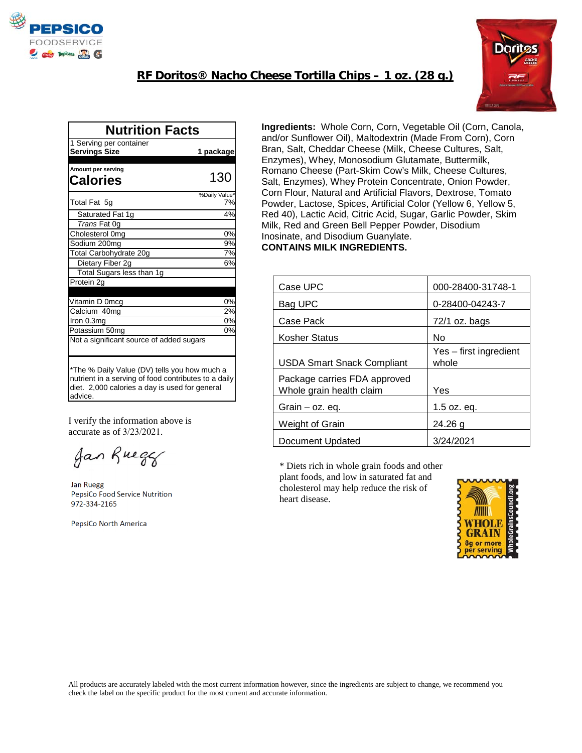

## **RF Doritos® Nacho Cheese Tortilla Chips – 1 oz. (28 g.)**



| <b>Nutrition Facts</b>                                                                                                                                            |               |  |  |
|-------------------------------------------------------------------------------------------------------------------------------------------------------------------|---------------|--|--|
| 1 Serving per container                                                                                                                                           |               |  |  |
| <b>Servings Size</b>                                                                                                                                              | 1 package     |  |  |
| Amount per serving                                                                                                                                                |               |  |  |
| Calories                                                                                                                                                          | 130           |  |  |
|                                                                                                                                                                   | %Daily Value* |  |  |
| Total Fat 5g                                                                                                                                                      | 7%            |  |  |
| Saturated Fat 1g                                                                                                                                                  | 4%            |  |  |
| Trans Fat 0q                                                                                                                                                      |               |  |  |
| Cholesterol 0mg                                                                                                                                                   | 0%            |  |  |
| Sodium 200mg                                                                                                                                                      | 9%            |  |  |
| Total Carbohydrate 20g                                                                                                                                            | 7%            |  |  |
| Dietary Fiber 2g                                                                                                                                                  | 6%            |  |  |
| Total Sugars less than 1g                                                                                                                                         |               |  |  |
| Protein 2g                                                                                                                                                        |               |  |  |
|                                                                                                                                                                   |               |  |  |
| Vitamin D 0mcg                                                                                                                                                    | 0%            |  |  |
| Calcium 40mg                                                                                                                                                      | 2%            |  |  |
| Iron 0.3mg                                                                                                                                                        | 0%            |  |  |
| Potassium 50mg                                                                                                                                                    | 0%            |  |  |
| Not a significant source of added sugars                                                                                                                          |               |  |  |
|                                                                                                                                                                   |               |  |  |
| *The % Daily Value (DV) tells you how much a<br>nutrient in a serving of food contributes to a daily<br>diet. 2,000 calories a day is used for general<br>advice. |               |  |  |

I verify the information above is accurate as of 3/23/2021.

Jan Rueger

Jan Ruegg PepsiCo Food Service Nutrition 972-334-2165

PepsiCo North America

**Ingredients:** Whole Corn, Corn, Vegetable Oil (Corn, Canola, and/or Sunflower Oil), Maltodextrin (Made From Corn), Corn Bran, Salt, Cheddar Cheese (Milk, Cheese Cultures, Salt, Enzymes), Whey, Monosodium Glutamate, Buttermilk, Romano Cheese (Part-Skim Cow's Milk, Cheese Cultures, Salt, Enzymes), Whey Protein Concentrate, Onion Powder, Corn Flour, Natural and Artificial Flavors, Dextrose, Tomato Powder, Lactose, Spices, Artificial Color (Yellow 6, Yellow 5, Red 40), Lactic Acid, Citric Acid, Sugar, Garlic Powder, Skim Milk, Red and Green Bell Pepper Powder, Disodium Inosinate, and Disodium Guanylate. **CONTAINS MILK INGREDIENTS.**

| Case UPC                                                 | 000-28400-31748-1               |
|----------------------------------------------------------|---------------------------------|
| Bag UPC                                                  | 0-28400-04243-7                 |
| Case Pack                                                | $72/1$ oz. bags                 |
| Kosher Status                                            | No                              |
| <b>USDA Smart Snack Compliant</b>                        | Yes – first ingredient<br>whole |
| Package carries FDA approved<br>Whole grain health claim | Yes                             |
| Grain $-$ oz. eq.                                        | $1.5$ oz. eq.                   |
| Weight of Grain                                          | $24.26$ g                       |
| Document Updated                                         | 3/24/2021                       |

\* Diets rich in whole grain foods and other plant foods, and low in saturated fat and cholesterol may help reduce the risk of heart disease.